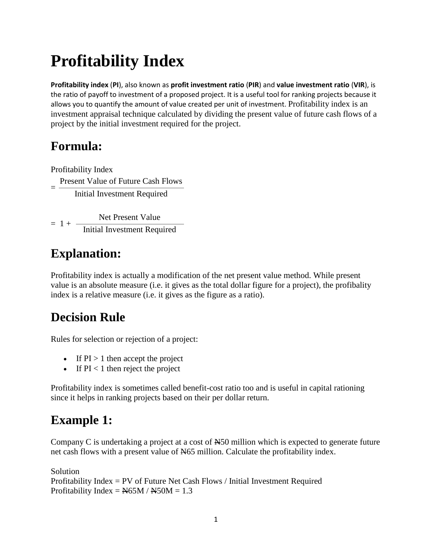# **Profitability Index**

**Profitability index** (**PI**), also known as **profit investment ratio** (**PIR**) and **value investment ratio** (**VIR**), is the ratio of payoff to investment of a proposed project. It is a useful tool for ranking projects because it allows you to quantify the amount of value created per unit of investment. Profitability index is an investment appraisal technique calculated by dividing the present value of future cash flows of a project by the initial investment required for the project.

#### **Formula:**

Profitability Index

= Present Value of Future Cash Flows Initial Investment Required

 $= 1 +$ Net Present Value Initial Investment Required

### **Explanation:**

Profitability index is actually a modification of the net present value method. While present value is an absolute measure (i.e. it gives as the total dollar figure for a project), the profibality index is a relative measure (i.e. it gives as the figure as a ratio).

## **Decision Rule**

Rules for selection or rejection of a project:

- If  $PI > 1$  then accept the project
- If  $PI < 1$  then reject the project

Profitability index is sometimes called benefit-cost ratio too and is useful in capital rationing since it helps in ranking projects based on their per dollar return.

#### **Example 1:**

Company C is undertaking a project at a cost of N50 million which is expected to generate future net cash flows with a present value of N65 million. Calculate the profitability index.

Solution Profitability Index = PV of Future Net Cash Flows / Initial Investment Required Profitability Index =  $N65M / N50M = 1.3$